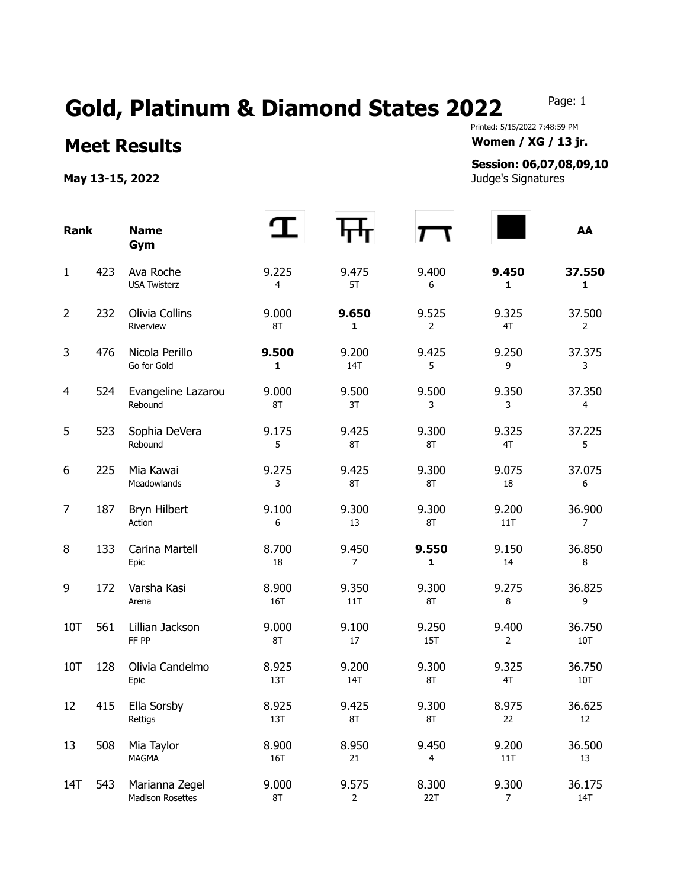## Gold, Platinum & Diamond States 2022 Page: 1

Printed: 5/15/2022 7:48:59 PM **Meet Results Women / XG / 13 jr.** 

## **Session: 06,07,08,09,10**

**May 13-15, 2022** Judge's Signatures

| <b>Rank</b>    |     | <b>Name</b><br>Gym                 |              |                         |                         |                         | AA                       |
|----------------|-----|------------------------------------|--------------|-------------------------|-------------------------|-------------------------|--------------------------|
| $\mathbf{1}$   | 423 | Ava Roche<br><b>USA Twisterz</b>   | 9.225<br>4   | 9.475<br>5T             | 9.400<br>6              | 9.450<br>1              | 37.550<br>1              |
| $\overline{2}$ | 232 | Olivia Collins<br>Riverview        | 9.000<br>8T  | 9.650<br>$\mathbf{1}$   | 9.525<br>$\overline{2}$ | 9.325<br>4T             | 37.500<br>$\overline{2}$ |
| 3              | 476 | Nicola Perillo<br>Go for Gold      | 9.500<br>1   | 9.200<br>14T            | 9.425<br>5              | 9.250<br>9              | 37.375<br>3              |
| $\overline{4}$ | 524 | Evangeline Lazarou<br>Rebound      | 9.000<br>8T  | 9.500<br>3T             | 9.500<br>3              | 9.350<br>3              | 37.350<br>$\overline{4}$ |
| 5              | 523 | Sophia DeVera<br>Rebound           | 9.175<br>5   | 9.425<br>8T             | 9.300<br>8T             | 9.325<br>4T             | 37.225<br>5              |
| 6              | 225 | Mia Kawai<br>Meadowlands           | 9.275<br>3   | 9.425<br>8T             | 9.300<br>8T             | 9.075<br>18             | 37.075<br>6              |
| $\overline{7}$ | 187 | Bryn Hilbert<br>Action             | 9.100<br>6   | 9.300<br>13             | 9.300<br>8T             | 9.200<br>11T            | 36.900<br>7              |
| 8              | 133 | Carina Martell<br>Epic             | 8.700<br>18  | 9.450<br>$\overline{7}$ | 9.550<br>1              | 9.150<br>14             | 36.850<br>8              |
| 9              | 172 | Varsha Kasi<br>Arena               | 8.900<br>16T | 9.350<br>11T            | 9.300<br>8T             | 9.275<br>8              | 36.825<br>9              |
| 10T            | 561 | Lillian Jackson<br>FF PP           | 9.000<br>8T  | 9.100<br>17             | 9.250<br>15T            | 9.400<br>$\overline{2}$ | 36.750<br>10T            |
| 10T            | 128 | Olivia Candelmo<br>Epic            | 8.925<br>13T | 9.200<br>14T            | 9.300<br>8T             | 9.325<br>4T             | 36.750<br>10T            |
| 12             | 415 | Ella Sorsby<br>Rettigs             | 8.925<br>13T | 9.425<br>8T             | 9.300<br>8T             | 8.975<br>22             | 36.625<br>12             |
| 13             | 508 | Mia Taylor<br><b>MAGMA</b>         | 8.900<br>16T | 8.950<br>21             | 9.450<br>4              | 9.200<br>11T            | 36.500<br>13             |
| 14T            | 543 | Marianna Zegel<br>Madison Rosettes | 9.000<br>8T  | 9.575<br>$\overline{2}$ | 8.300<br>22T            | 9.300<br>$\overline{7}$ | 36.175<br>14T            |